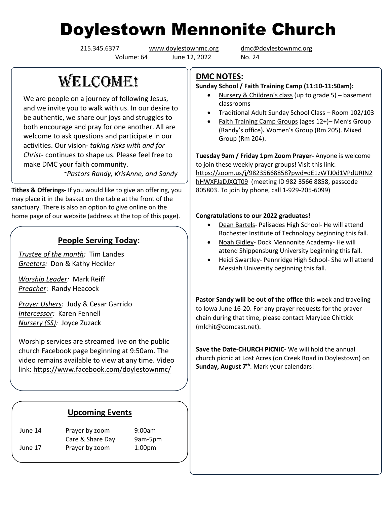# Doylestown Mennonite Church

Volume: 64 June 12, 2022 No. 24

215.345.6377 [www.doylestownmc.org](http://www.doylestownmc.org/) [dmc@doylestownmc.org](mailto:dmc@doylestownmc.org)

## **WELCOME!**

We are people on a journey of following Jesus, and we invite you to walk with us. In our desire to be authentic, we share our joys and struggles to both encourage and pray for one another. All are welcome to ask questions and participate in our activities. Our vision- *taking risks with and for Christ*- continues to shape us. Please feel free to make DMC your faith community.

 *~Pastors Randy, KrisAnne, and Sandy*

**Tithes & Offerings-** If you would like to give an offering, you may place it in the basket on the table at the front of the sanctuary. There is also an option to give online on the home page of our website (address at the top of this page).

## **People Serving Today:**

*Trustee of the month:* Tim Landes *Greeters:* Don & Kathy Heckler

*Worship Leader:* Mark Reiff *Preacher*: Randy Heacock

*Prayer Ushers:* Judy & Cesar Garrido *Intercessor:* Karen Fennell *Nursery (SS):* Joyce Zuzack

Worship services are streamed live on the public church Facebook page beginning at 9:50am. The video remains available to view at any time. Video link: <https://www.facebook.com/doylestownmc/>

### **Upcoming Events**

June 14 Prayer by zoom 9:00am Care & Share Day 9am-5pm June 17 Prayer by zoom 1:00pm

## **DMC NOTES:**

#### **Sunday School / Faith Training Camp (11:10-11:50am):**

- Nursery & Children's class (up to grade 5) basement classrooms
- Traditional Adult Sunday School Class Room 102/103
- Faith Training Camp Groups (ages 12+)– Men's Group (Randy's office)**.** Women's Group (Rm 205). Mixed Group (Rm 204).

**Tuesday 9am / Friday 1pm Zoom Prayer-** Anyone is welcome to join these weekly prayer groups! Visit this link: [https://zoom.us/j/98235668858?pwd=dE1zWTJ0d1VPdURIN2](https://zoom.us/j/98235668858?pwd=dE1zWTJ0d1VPdURIN2hHWXFJaDJXQT09) [hHWXFJaDJXQT09](https://zoom.us/j/98235668858?pwd=dE1zWTJ0d1VPdURIN2hHWXFJaDJXQT09) (meeting ID 982 3566 8858, passcode 805803. To join by phone, call 1-929-205-6099)

#### **Congratulations to our 2022 graduates!**

- Dean Bartels- Palisades High School- He will attend Rochester Institute of Technology beginning this fall.
- Noah Gidley- Dock Mennonite Academy- He will attend Shippensburg University beginning this fall.
- Heidi Swartley- Pennridge High School- She will attend Messiah University beginning this fall.

**Pastor Sandy will be out of the office** this week and traveling to Iowa June 16-20. For any prayer requests for the prayer chain during that time, please contact MaryLee Chittick (mlchit@comcast.net).

**Save the Date-CHURCH PICNIC-** We will hold the annual church picnic at Lost Acres (on Creek Road in Doylestown) on **Sunday, August 7th**. Mark your calendars!